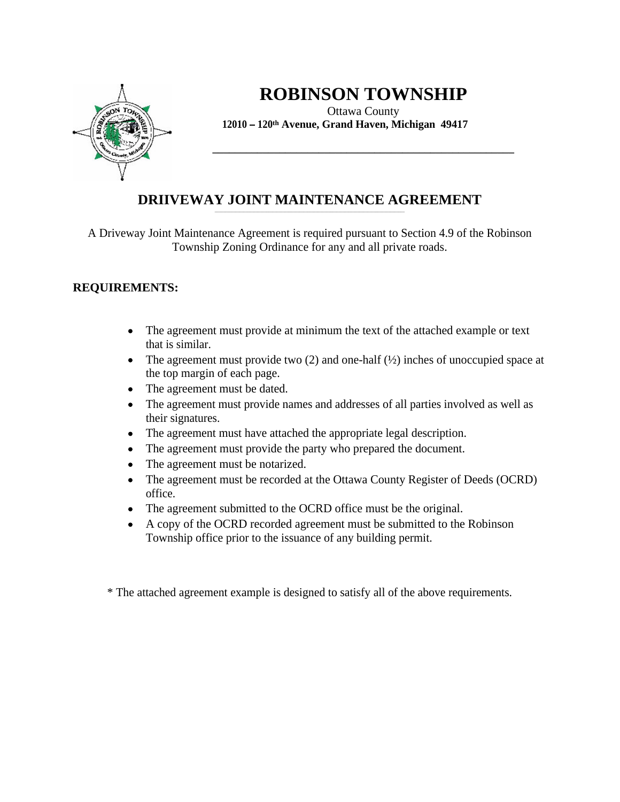

# **ROBINSON TOWNSHIP**

**\_\_\_\_\_\_\_\_\_\_\_\_\_\_\_\_\_\_\_\_\_\_\_\_\_\_\_\_\_\_\_\_\_\_\_\_\_\_\_\_\_\_\_\_\_\_\_\_\_\_\_\_\_\_**

Ottawa County **12010 120th Avenue, Grand Haven, Michigan 49417**

#### **DRIIVEWAY JOINT MAINTENANCE AGREEMENT** \_\_\_\_\_\_\_\_\_\_\_\_\_\_\_\_\_\_\_\_\_\_\_\_\_\_\_\_\_\_\_\_\_\_\_\_\_\_\_\_\_\_\_\_\_\_\_\_\_\_\_\_\_\_\_\_\_\_\_\_\_\_\_\_\_\_\_\_\_\_\_\_\_\_\_\_\_\_\_\_\_\_\_\_\_\_\_\_\_\_\_\_

A Driveway Joint Maintenance Agreement is required pursuant to Section 4.9 of the Robinson Township Zoning Ordinance for any and all private roads.

## **REQUIREMENTS:**

- The agreement must provide at minimum the text of the attached example or text  $\bullet$ that is similar.
- The agreement must provide two  $(2)$  and one-half  $(\frac{1}{2})$  inches of unoccupied space at the top margin of each page.
- The agreement must be dated.  $\bullet$
- The agreement must provide names and addresses of all parties involved as well as  $\bullet$ their signatures.
- The agreement must have attached the appropriate legal description.
- The agreement must provide the party who prepared the document.  $\bullet$
- The agreement must be notarized.  $\bullet$
- The agreement must be recorded at the Ottawa County Register of Deeds (OCRD)  $\bullet$ office.
- The agreement submitted to the OCRD office must be the original.
- A copy of the OCRD recorded agreement must be submitted to the Robinson  $\bullet$ Township office prior to the issuance of any building permit.

\* The attached agreement example is designed to satisfy all of the above requirements.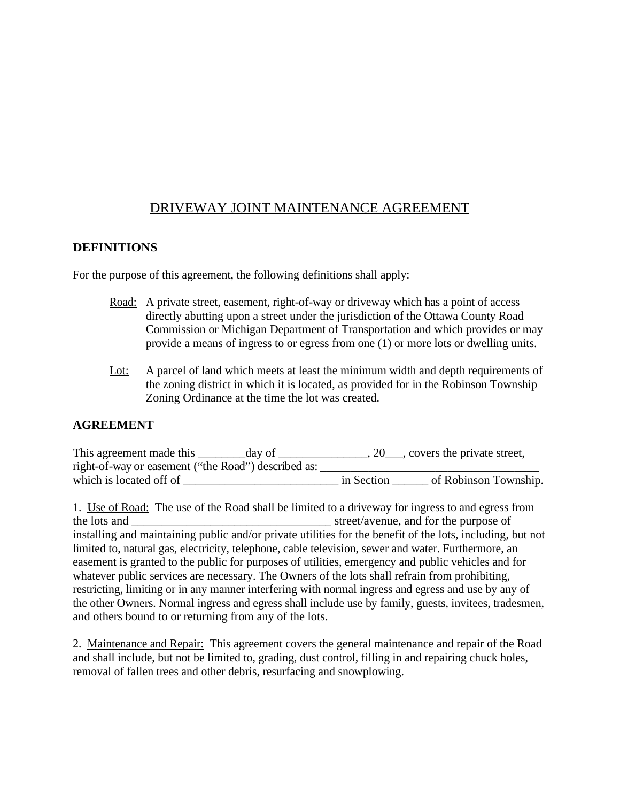# DRIVEWAY JOINT MAINTENANCE AGREEMENT

#### **DEFINITIONS**

For the purpose of this agreement, the following definitions shall apply:

- Road: A private street, easement, right-of-way or driveway which has a point of access directly abutting upon a street under the jurisdiction of the Ottawa County Road Commission or Michigan Department of Transportation and which provides or may provide a means of ingress to or egress from one (1) or more lots or dwelling units.
- Lot: A parcel of land which meets at least the minimum width and depth requirements of the zoning district in which it is located, as provided for in the Robinson Township Zoning Ordinance at the time the lot was created.

### **AGREEMENT**

| This agreement made this                            |            | , covers the private street, |
|-----------------------------------------------------|------------|------------------------------|
| right-of-way or easement ("the Road") described as: |            |                              |
| which is located off of                             | in Section | f Robinson Township.         |

1. Use of Road: The use of the Road shall be limited to a driveway for ingress to and egress from the lots and \_\_\_\_\_\_\_\_\_\_\_\_\_\_\_\_\_\_\_\_\_\_\_\_\_\_\_\_\_\_\_\_\_ street/avenue, and for the purpose of installing and maintaining public and/or private utilities for the benefit of the lots, including, but not limited to, natural gas, electricity, telephone, cable television, sewer and water. Furthermore, an easement is granted to the public for purposes of utilities, emergency and public vehicles and for whatever public services are necessary. The Owners of the lots shall refrain from prohibiting, restricting, limiting or in any manner interfering with normal ingress and egress and use by any of the other Owners. Normal ingress and egress shall include use by family, guests, invitees, tradesmen, and others bound to or returning from any of the lots.

2. Maintenance and Repair: This agreement covers the general maintenance and repair of the Road and shall include, but not be limited to, grading, dust control, filling in and repairing chuck holes, removal of fallen trees and other debris, resurfacing and snowplowing.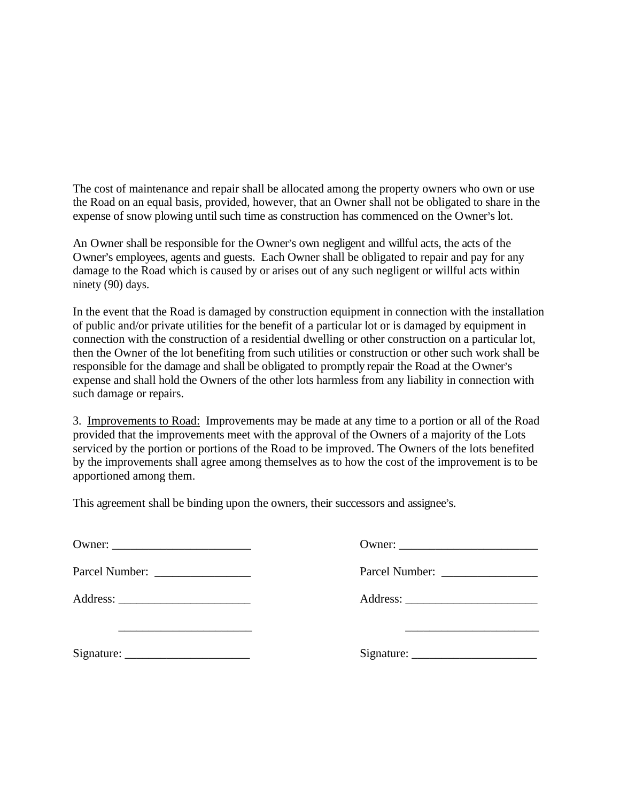The cost of maintenance and repair shall be allocated among the property owners who own or use the Road on an equal basis, provided, however, that an Owner shall not be obligated to share in the expense of snow plowing until such time as construction has commenced on the Owner's lot.

An Owner shall be responsible for the Owner's own negligent and willful acts, the acts of the Owner's employees, agents and guests. Each Owner shall be obligated to repair and pay for any damage to the Road which is caused by or arises out of any such negligent or willful acts within ninety (90) days.

In the event that the Road is damaged by construction equipment in connection with the installation of public and/or private utilities for the benefit of a particular lot or is damaged by equipment in connection with the construction of a residential dwelling or other construction on a particular lot, then the Owner of the lot benefiting from such utilities or construction or other such work shall be responsible for the damage and shall be obligated to promptly repair the Road at the Owner's expense and shall hold the Owners of the other lots harmless from any liability in connection with such damage or repairs.

3. Improvements to Road: Improvements may be made at any time to a portion or all of the Road provided that the improvements meet with the approval of the Owners of a majority of the Lots serviced by the portion or portions of the Road to be improved. The Owners of the lots benefited by the improvements shall agree among themselves as to how the cost of the improvement is to be apportioned among them.

This agreement shall be binding upon the owners, their successors and assignee's.

| Owner:           | Owner:         |
|------------------|----------------|
| Parcel Number: _ | Parcel Number: |
| Address:         | Address:       |
| ____________     |                |
| Signature:       | Signature:     |